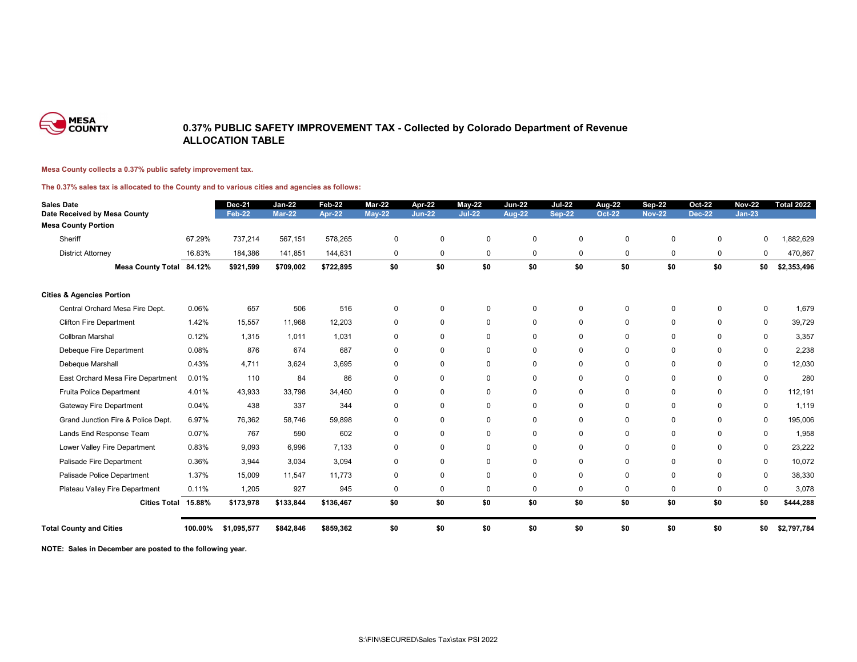

## **0.37% PUBLIC SAFETY IMPROVEMENT TAX - Collected by Colorado Department of Revenue ALLOCATION TABLE**

## **Mesa County collects a 0.37% public safety improvement tax.**

**The 0.37% sales tax is allocated to the County and to various cities and agencies as follows:**

| <b>Sales Date</b><br>Date Received by Mesa County |         | <b>Dec-21</b><br><b>Feb-22</b> | $Jan-22$<br><b>Mar-22</b> | Feb-22<br>Apr-22 | Mar-22<br><b>May-22</b> | Apr-22<br><b>Jun-22</b> | <b>May-22</b><br>$Jul-22$ | <b>Jun-22</b><br>Aug-22 | <b>Jul-22</b><br><b>Sep-22</b> | <b>Aug-22</b><br><b>Oct-22</b> | <b>Sep-22</b><br><b>Nov-22</b> | <b>Oct-22</b><br><b>Dec-22</b> | <b>Nov-22</b><br>$Jan-23$ | <b>Total 2022</b> |
|---------------------------------------------------|---------|--------------------------------|---------------------------|------------------|-------------------------|-------------------------|---------------------------|-------------------------|--------------------------------|--------------------------------|--------------------------------|--------------------------------|---------------------------|-------------------|
| <b>Mesa County Portion</b>                        |         |                                |                           |                  |                         |                         |                           |                         |                                |                                |                                |                                |                           |                   |
| Sheriff                                           | 67.29%  | 737,214                        | 567,151                   | 578,265          | 0                       | $\mathbf 0$             | $\Omega$                  | $\mathbf 0$             | 0                              | $\mathbf 0$                    | $\Omega$                       | $\Omega$                       | $\Omega$                  | 1,882,629         |
| <b>District Attorney</b>                          | 16.83%  | 184,386                        | 141,851                   | 144,631          | 0                       | 0                       | $\mathbf 0$               | $\mathbf 0$             | 0                              | 0                              | $\mathbf 0$                    | $\mathbf 0$                    | 0                         | 470,867           |
| Mesa County Total 84.12%                          |         | \$921,599                      | \$709,002                 | \$722,895        | \$0                     | \$0                     | \$0                       | \$0                     | \$0                            | \$0                            | \$0                            | \$0                            | \$0                       | \$2,353,496       |
| <b>Cities &amp; Agencies Portion</b>              |         |                                |                           |                  |                         |                         |                           |                         |                                |                                |                                |                                |                           |                   |
| Central Orchard Mesa Fire Dept.                   | 0.06%   | 657                            | 506                       | 516              | $\mathbf 0$             | $\mathbf 0$             | $\Omega$                  | $\mathbf 0$             | 0                              | 0                              | $\mathbf 0$                    | $\mathbf 0$                    | 0                         | 1,679             |
| <b>Clifton Fire Department</b>                    | 1.42%   | 15,557                         | 11,968                    | 12,203           | $\mathbf 0$             | $\mathbf 0$             | $\Omega$                  | $\mathbf 0$             | 0                              | $\mathbf 0$                    | $\Omega$                       | $\mathbf 0$                    | $\mathbf 0$               | 39,729            |
| <b>Collbran Marshal</b>                           | 0.12%   | 1,315                          | 1.011                     | 1,031            | $\mathbf 0$             | $\mathbf 0$             | $\Omega$                  | $\Omega$                | 0                              | $\mathbf 0$                    | $\Omega$                       | $\Omega$                       | 0                         | 3,357             |
| Debeque Fire Department                           | 0.08%   | 876                            | 674                       | 687              | 0                       | $\mathbf 0$             | $\Omega$                  | $\Omega$                | 0                              | 0                              | $\Omega$                       | $\Omega$                       | 0                         | 2,238             |
| Debeque Marshall                                  | 0.43%   | 4.711                          | 3,624                     | 3.695            | $\mathbf 0$             | $\mathbf 0$             | $\Omega$                  | $\mathbf 0$             | 0                              | $\mathbf 0$                    | $\Omega$                       | $\mathbf 0$                    | $\mathbf 0$               | 12,030            |
| East Orchard Mesa Fire Department                 | 0.01%   | 110                            | 84                        | 86               | 0                       | $\mathbf 0$             | $\Omega$                  | $\Omega$                | 0                              | $\mathbf 0$                    | $\Omega$                       | $\Omega$                       | $\mathbf 0$               | 280               |
| Fruita Police Department                          | 4.01%   | 43,933                         | 33,798                    | 34,460           | $\mathbf 0$             | $\mathbf 0$             | $\Omega$                  | $\Omega$                | 0                              | $\mathbf 0$                    | $\Omega$                       | $\Omega$                       | $\mathbf 0$               | 112,191           |
| Gateway Fire Department                           | 0.04%   | 438                            | 337                       | 344              | 0                       | 0                       | $\Omega$                  | $\Omega$                | 0                              | 0                              | $\mathbf 0$                    | $\mathbf 0$                    | 0                         | 1,119             |
| Grand Junction Fire & Police Dept.                | 6.97%   | 76,362                         | 58,746                    | 59.898           | $\mathbf 0$             | $\mathbf 0$             | $\Omega$                  | 0                       | 0                              | 0                              | 0                              | $\mathbf 0$                    | 0                         | 195,006           |
| Lands End Response Team                           | 0.07%   | 767                            | 590                       | 602              | 0                       | $\mathbf 0$             | $\Omega$                  | $\Omega$                | $\Omega$                       | $\mathbf 0$                    | $\mathbf 0$                    | $\Omega$                       | 0                         | 1,958             |
| Lower Valley Fire Department                      | 0.83%   | 9,093                          | 6,996                     | 7,133            | $\mathbf 0$             | $\mathbf 0$             | $\Omega$                  | $\Omega$                | $\Omega$                       | 0                              | $\Omega$                       | $\Omega$                       | 0                         | 23,222            |
| Palisade Fire Department                          | 0.36%   | 3,944                          | 3,034                     | 3,094            | 0                       | $\mathbf 0$             | $\Omega$                  | $\Omega$                | 0                              | 0                              | $\Omega$                       | $\Omega$                       | 0                         | 10,072            |
| Palisade Police Department                        | 1.37%   | 15,009                         | 11,547                    | 11.773           | 0                       | $\mathbf 0$             | $\Omega$                  | $\Omega$                | 0                              | 0                              | $\Omega$                       | $\mathbf 0$                    | $\mathbf 0$               | 38,330            |
| Plateau Valley Fire Department                    | 0.11%   | 1,205                          | 927                       | 945              | 0                       | $\mathbf 0$             | $\Omega$                  | $\Omega$                | 0                              | $\mathbf 0$                    | 0                              | $\mathbf 0$                    | $\mathbf 0$               | 3,078             |
| <b>Cities Total</b>                               | 15.88%  | \$173,978                      | \$133,844                 | \$136,467        | \$0                     | \$0                     | \$0                       | \$0                     | \$0                            | \$0                            | \$0                            | \$0                            | \$0                       | \$444,288         |
| <b>Total County and Cities</b>                    | 100.00% | \$1,095,577                    | \$842,846                 | \$859,362        | \$0                     | \$0                     | \$0                       | \$0                     | \$0                            | \$0                            | \$0                            | \$0                            | \$0                       | \$2,797,784       |

**NOTE: Sales in December are posted to the following year.**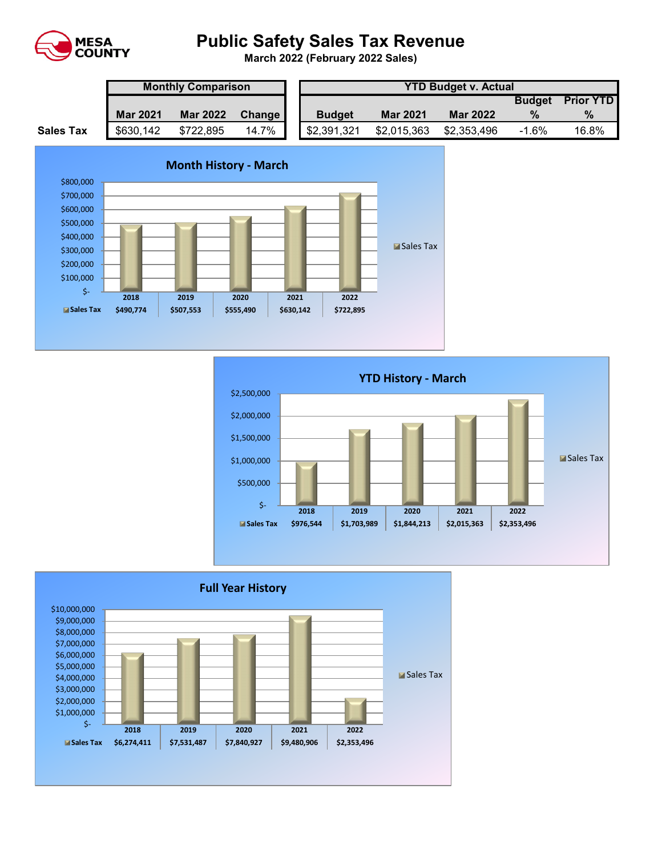

## **Public Safety Sales Tax Revenue**

**March 2022 (February 2022 Sales)** 

|                  | <b>Monthly Comparison</b> |                 |        |  | <b>YTD Budget v. Actual</b> |                 |                 |               |                  |  |  |
|------------------|---------------------------|-----------------|--------|--|-----------------------------|-----------------|-----------------|---------------|------------------|--|--|
|                  |                           |                 |        |  |                             |                 |                 | <b>Budget</b> | <b>Prior YTD</b> |  |  |
|                  | <b>Mar 2021</b>           | <b>Mar 2022</b> | Change |  | <b>Budget</b>               | <b>Mar 2021</b> | <b>Mar 2022</b> |               | $\%$             |  |  |
| <b>Sales Tax</b> | \$630,142                 | \$722,895       | 14.7%  |  | \$2,391,321                 | \$2,015,363     | \$2,353,496     | $-1.6%$       | 16.8%            |  |  |